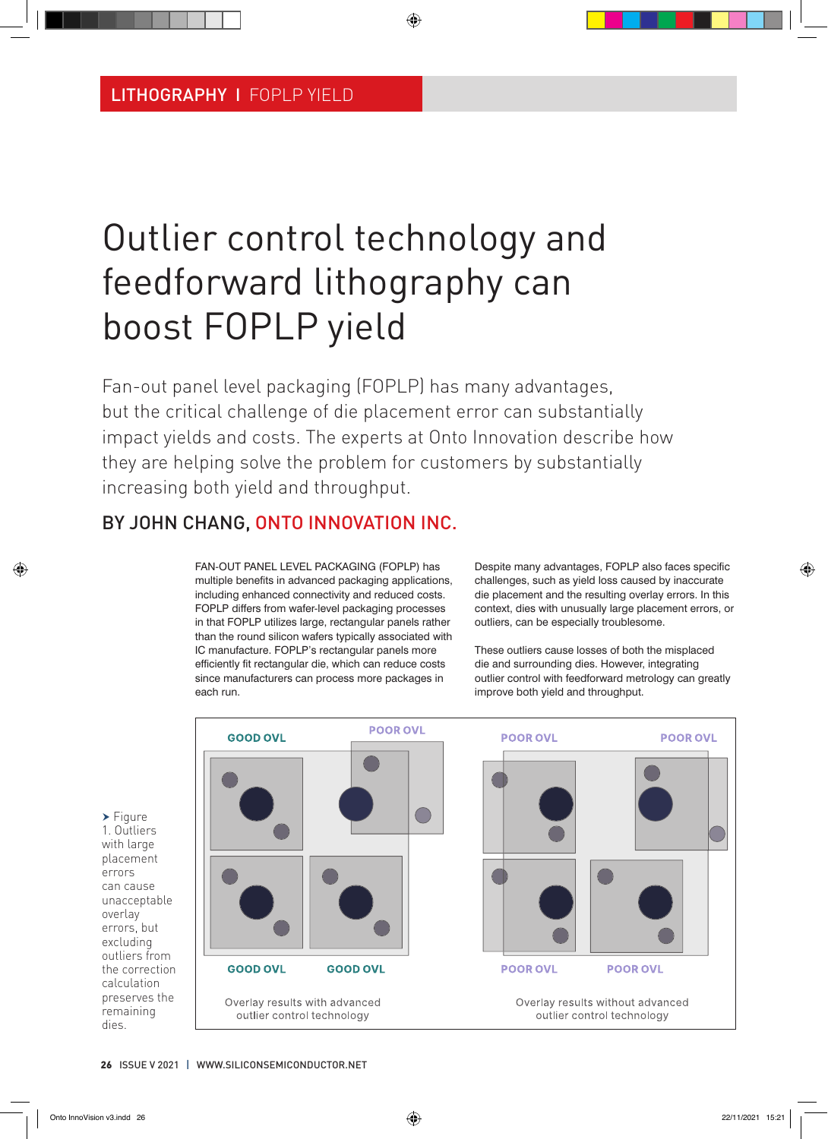# Outlier control technology and feedforward lithography can boost FOPLP yield

Fan-out panel level packaging (FOPLP) has many advantages, but the critical challenge of die placement error can substantially impact yields and costs. The experts at Onto Innovation describe how they are helping solve the problem for customers by substantially increasing both yield and throughput.

## BY JOHN CHANG, ONTO INNOVATION INC.

FAN-OUT PANEL LEVEL PACKAGING (FOPLP) has multiple benefits in advanced packaging applications, including enhanced connectivity and reduced costs. FOPLP differs from wafer-level packaging processes in that FOPLP utilizes large, rectangular panels rather than the round silicon wafers typically associated with IC manufacture. FOPLP's rectangular panels more efficiently fit rectangular die, which can reduce costs since manufacturers can process more packages in each run.

Despite many advantages, FOPLP also faces specific challenges, such as yield loss caused by inaccurate die placement and the resulting overlay errors. In this context, dies with unusually large placement errors, or outliers, can be especially troublesome.

These outliers cause losses of both the misplaced die and surrounding dies. However, integrating outlier control with feedforward metrology can greatly improve both yield and throughput.



errors

overlay

dies.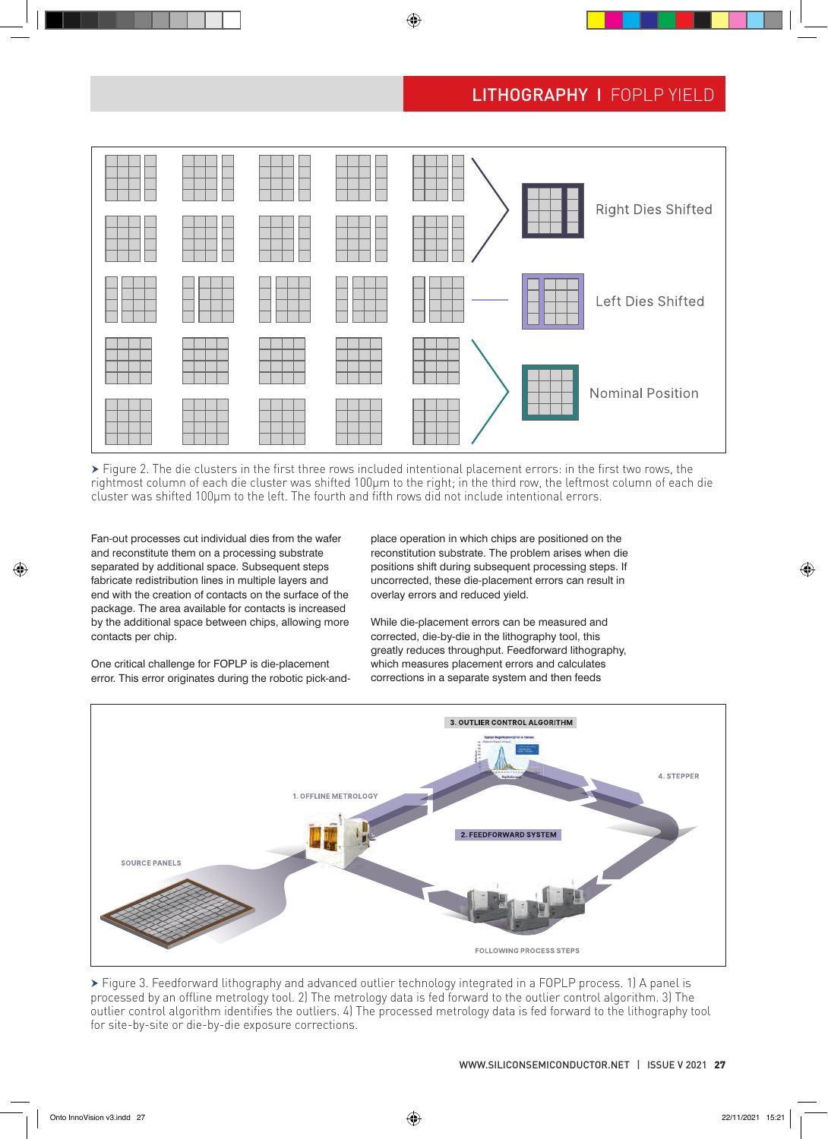

 Figure 2. The die clusters in the first three rows included intentional placement errors: in the first two rows, the rightmost column of each die cluster was shifted 100µm to the right; in the third row, the leftmost column of each die cluster was shifted 100µm to the left. The fourth and fifth rows did not include intentional errors.

Fan-out processes cut individual dies from the wafer and reconstitute them on a processing substrate separated by additional space. Subsequent steps fabricate redistribution lines in multiple layers and end with the creation of contacts on the surface of the package. The area available for contacts is increased by the additional space between chips, allowing more contacts per chip.

place operation in which chips are positioned on the reconstitution substrate. The problem arises when die positions shift during subsequent processing steps. If uncorrected, these die-placement errors can result in overlay errors and reduced yield.

While die-placement errors can be measured and corrected, die-by-die in the lithography tool, this greatly reduces throughput. Feedforward lithography, which measures placement errors and calculates corrections in a separate system and then feeds



 Figure 3. Feedforward lithography and advanced outlier technology integrated in a FOPLP process. 1) A panel is processed by an offline metrology tool. 2) The metrology data is fed forward to the outlier control algorithm. 3) The outlier control algorithm identifies the outliers. 4) The processed metrology data is fed forward to the lithography tool for site-by-site or die-by-die exposure corrections.

One critical challenge for FOPLP is die-placement error. This error originates during the robotic pick-and-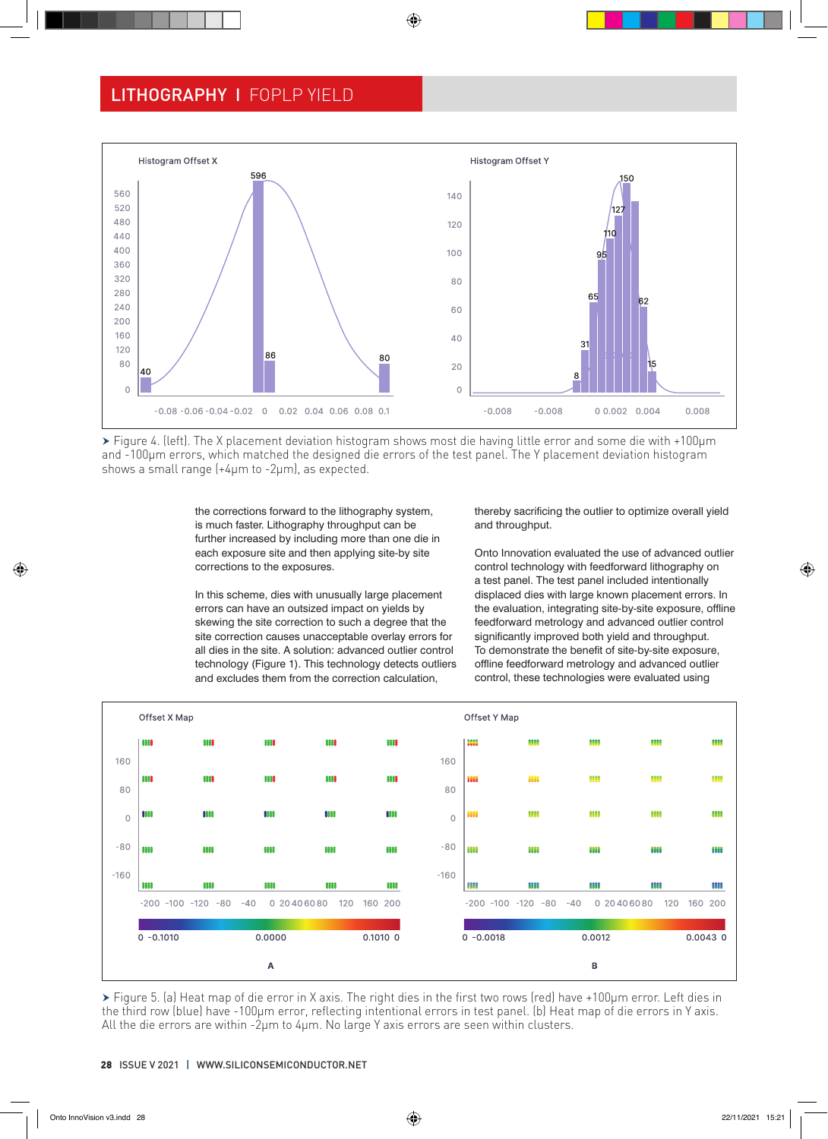

 Figure 4. (left). The X placement deviation histogram shows most die having little error and some die with +100µm and -100µm errors, which matched the designed die errors of the test panel. The Y placement deviation histogram shows a small range (+4µm to -2µm), as expected.

the corrections forward to the lithography system, is much faster. Lithography throughput can be further increased by including more than one die in each exposure site and then applying site-by site corrections to the exposures.

In this scheme, dies with unusually large placement errors can have an outsized impact on yields by skewing the site correction to such a degree that the site correction causes unacceptable overlay errors for all dies in the site. A solution: advanced outlier control technology (Figure 1). This technology detects outliers and excludes them from the correction calculation,

thereby sacrificing the outlier to optimize overall yield and throughput.

Onto Innovation evaluated the use of advanced outlier control technology with feedforward lithography on a test panel. The test panel included intentionally displaced dies with large known placement errors. In the evaluation, integrating site-by-site exposure, offline feedforward metrology and advanced outlier control significantly improved both yield and throughput. To demonstrate the benefit of site-by-site exposure, offline feedforward metrology and advanced outlier control, these technologies were evaluated using



 Figure 5. (a) Heat map of die error in X axis. The right dies in the first two rows (red) have +100µm error. Left dies in the third row (blue) have -100µm error, reflecting intentional errors in test panel. (b) Heat map of die errors in Y axis. All the die errors are within -2µm to 4µm. No large Y axis errors are seen within clusters.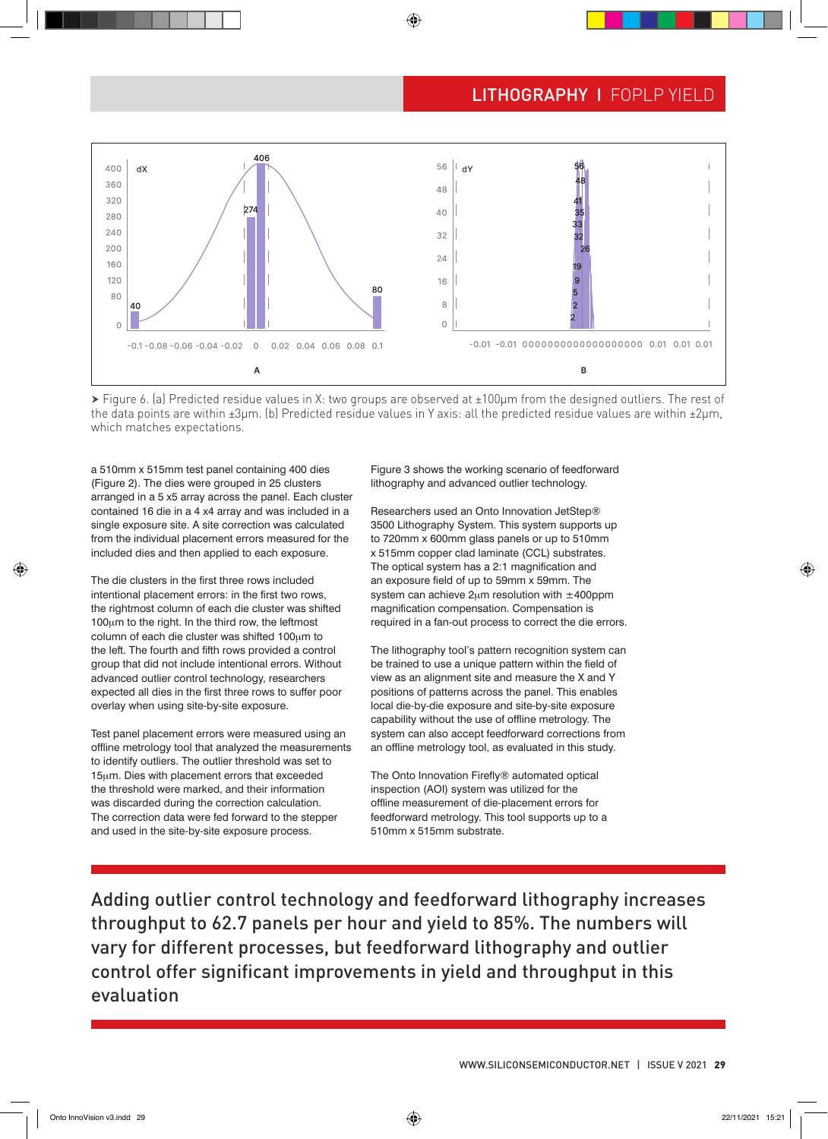

 Figure 6. (a) Predicted residue values in X: two groups are observed at ±100µm from the designed outliers. The rest of the data points are within  $\pm 3\mu$ m. (b) Predicted residue values in Y axis: all the predicted residue values are within  $\pm 2\mu$ m, which matches expectations.

a 510mm x 515mm test panel containing 400 dies (Figure 2). The dies were grouped in 25 clusters arranged in a 5 x5 array across the panel. Each cluster contained 16 die in a 4 x4 array and was included in a single exposure site. A site correction was calculated from the individual placement errors measured for the included dies and then applied to each exposure.

The die clusters in the first three rows included intentional placement errors: in the first two rows, the rightmost column of each die cluster was shifted 100um to the right. In the third row, the leftmost column of each die cluster was shifted 100µm to the left. The fourth and fifth rows provided a control group that did not include intentional errors. Without advanced outlier control technology, researchers expected all dies in the first three rows to suffer poor overlay when using site-by-site exposure.

Test panel placement errors were measured using an offline metrology tool that analyzed the measurements to identify outliers. The outlier threshold was set to 15µm. Dies with placement errors that exceeded the threshold were marked, and their information was discarded during the correction calculation. The correction data were fed forward to the stepper and used in the site-by-site exposure process.

Figure 3 shows the working scenario of feedforward lithography and advanced outlier technology.

Researchers used an Onto Innovation JetStep® 3500 Lithography System. This system supports up to 720mm x 600mm glass panels or up to 510mm x 515mm copper clad laminate (CCL) substrates. The optical system has a 2:1 magnification and an exposure field of up to 59mm x 59mm. The system can achieve  $2\mu$ m resolution with  $\pm$ 400ppm magnification compensation. Compensation is required in a fan-out process to correct the die errors.

The lithography tool's pattern recognition system can be trained to use a unique pattern within the field of view as an alignment site and measure the X and Y positions of patterns across the panel. This enables local die-by-die exposure and site-by-site exposure capability without the use of offline metrology. The system can also accept feedforward corrections from an offline metrology tool, as evaluated in this study.

The Onto Innovation Firefly® automated optical inspection (AOI) system was utilized for the offline measurement of die-placement errors for feedforward metrology. This tool supports up to a 510mm x 515mm substrate.

Adding outlier control technology and feedforward lithography increases throughput to 62.7 panels per hour and yield to 85%. The numbers will vary for different processes, but feedforward lithography and outlier control offer significant improvements in yield and throughput in this evaluation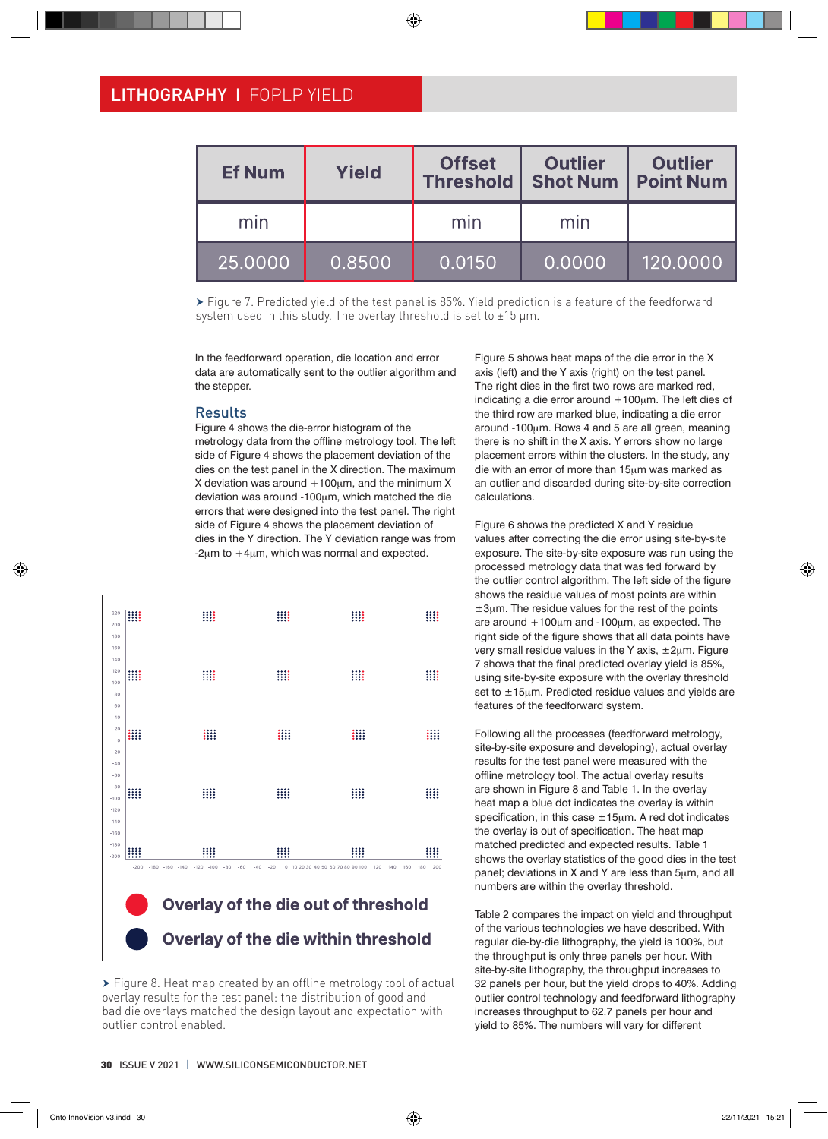| <b>Ef Num</b> | <b>Yield</b> | <b>Offset</b><br><b>Threshold</b> | <b>Outlier</b><br><b>Shot Num</b> | <b>Outlier</b><br><b>Point Num</b> |  |
|---------------|--------------|-----------------------------------|-----------------------------------|------------------------------------|--|
| min           |              | min                               | min                               |                                    |  |
| 25.0000       | 0.8500       | 0.0150                            | 0.0000                            | 120.0000                           |  |

 Figure 7. Predicted yield of the test panel is 85%. Yield prediction is a feature of the feedforward system used in this study. The overlay threshold is set to ±15 µm.

In the feedforward operation, die location and error data are automatically sent to the outlier algorithm and the stepper.

#### **Results**

Figure 4 shows the die-error histogram of the metrology data from the offline metrology tool. The left side of Figure 4 shows the placement deviation of the dies on the test panel in the X direction. The maximum X deviation was around  $+100\mu$ m, and the minimum X deviation was around -100µm, which matched the die errors that were designed into the test panel. The right side of Figure 4 shows the placement deviation of dies in the Y direction. The Y deviation range was from  $-2\mu$ m to  $+4\mu$ m, which was normal and expected.



▶ Figure 8. Heat map created by an offline metrology tool of actual overlay results for the test panel: the distribution of good and bad die overlays matched the design layout and expectation with outlier control enabled.

Figure 5 shows heat maps of the die error in the X axis (left) and the Y axis (right) on the test panel. The right dies in the first two rows are marked red, indicating a die error around  $+100 \mu m$ . The left dies of the third row are marked blue, indicating a die error around -100µm. Rows 4 and 5 are all green, meaning there is no shift in the X axis. Y errors show no large placement errors within the clusters. In the study, any die with an error of more than 15µm was marked as an outlier and discarded during site-by-site correction calculations.

Figure 6 shows the predicted X and Y residue values after correcting the die error using site-by-site exposure. The site-by-site exposure was run using the processed metrology data that was fed forward by the outlier control algorithm. The left side of the figure shows the residue values of most points are within  $±3µm$ . The residue values for the rest of the points are around  $+100\mu m$  and  $-100\mu m$ , as expected. The right side of the figure shows that all data points have very small residue values in the Y axis,  $\pm 2\mu$ m. Figure 7 shows that the final predicted overlay yield is 85%, using site-by-site exposure with the overlay threshold set to  $\pm$ 15µm. Predicted residue values and yields are features of the feedforward system.

Following all the processes (feedforward metrology, site-by-site exposure and developing), actual overlay results for the test panel were measured with the offline metrology tool. The actual overlay results are shown in Figure 8 and Table 1. In the overlay heat map a blue dot indicates the overlay is within specification, in this case  $\pm 15\mu$ m. A red dot indicates the overlay is out of specification. The heat map matched predicted and expected results. Table 1 shows the overlay statistics of the good dies in the test panel; deviations in X and Y are less than 5µm, and all numbers are within the overlay threshold.

Table 2 compares the impact on yield and throughput of the various technologies we have described. With regular die-by-die lithography, the yield is 100%, but the throughput is only three panels per hour. With site-by-site lithography, the throughput increases to 32 panels per hour, but the yield drops to 40%. Adding outlier control technology and feedforward lithography increases throughput to 62.7 panels per hour and yield to 85%. The numbers will vary for different